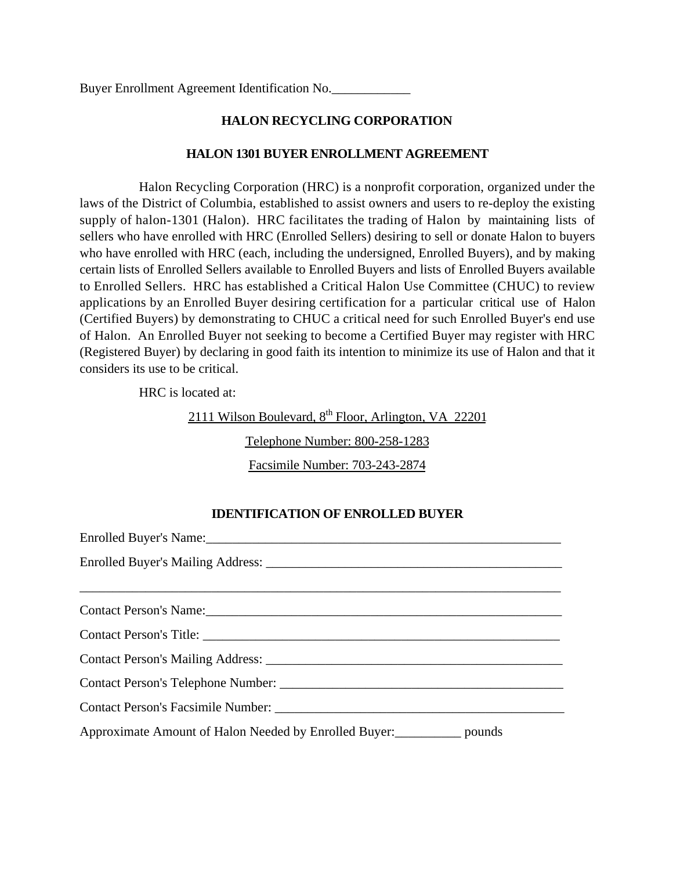Buyer Enrollment Agreement Identification No.

## **HALON RECYCLING CORPORATION**

#### **HALON 1301 BUYER ENROLLMENT AGREEMENT**

Halon Recycling Corporation (HRC) is a nonprofit corporation, organized under the laws of the District of Columbia, established to assist owners and users to re-deploy the existing supply of halon-1301 (Halon). HRC facilitates the trading of Halon by maintaining lists of sellers who have enrolled with HRC (Enrolled Sellers) desiring to sell or donate Halon to buyers who have enrolled with HRC (each, including the undersigned, Enrolled Buyers), and by making certain lists of Enrolled Sellers available to Enrolled Buyers and lists of Enrolled Buyers available to Enrolled Sellers. HRC has established a Critical Halon Use Committee (CHUC) to review applications by an Enrolled Buyer desiring certification for a particular critical use of Halon (Certified Buyers) by demonstrating to CHUC a critical need for such Enrolled Buyer's end use of Halon. An Enrolled Buyer not seeking to become a Certified Buyer may register with HRC (Registered Buyer) by declaring in good faith its intention to minimize its use of Halon and that it considers its use to be critical.

HRC is located at:

2111 Wilson Boulevard,  $8<sup>th</sup>$  Floor, Arlington, VA 22201

Telephone Number: 800-258-1283

Facsimile Number: 703-243-2874

## **IDENTIFICATION OF ENROLLED BUYER**

| Contact Person's Name:                                                       |  |  |
|------------------------------------------------------------------------------|--|--|
|                                                                              |  |  |
|                                                                              |  |  |
|                                                                              |  |  |
|                                                                              |  |  |
| Approximate Amount of Halon Needed by Enrolled Buyer:<br>____________ pounds |  |  |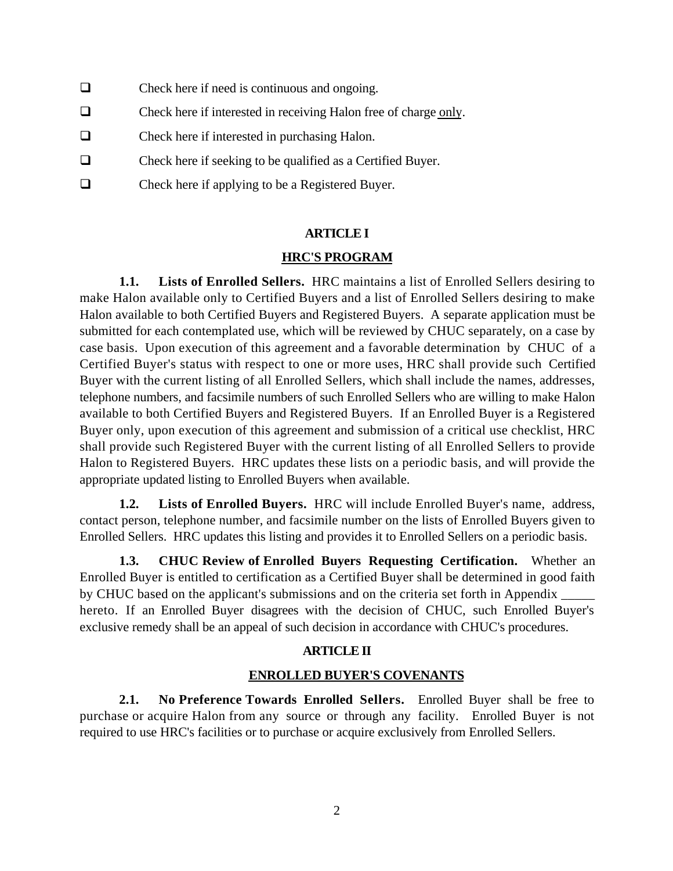- $\Box$  Check here if need is continuous and ongoing.
- $\Box$  Check here if interested in receiving Halon free of charge only.
- $\Box$  Check here if interested in purchasing Halon.
- $\Box$  Check here if seeking to be qualified as a Certified Buyer.
- $\Box$  Check here if applying to be a Registered Buyer.

#### **ARTICLE I**

## **HRC'S PROGRAM**

**1.1. Lists of Enrolled Sellers.** HRC maintains a list of Enrolled Sellers desiring to make Halon available only to Certified Buyers and a list of Enrolled Sellers desiring to make Halon available to both Certified Buyers and Registered Buyers. A separate application must be submitted for each contemplated use, which will be reviewed by CHUC separately, on a case by case basis. Upon execution of this agreement and a favorable determination by CHUC of a Certified Buyer's status with respect to one or more uses, HRC shall provide such Certified Buyer with the current listing of all Enrolled Sellers, which shall include the names, addresses, telephone numbers, and facsimile numbers of such Enrolled Sellers who are willing to make Halon available to both Certified Buyers and Registered Buyers. If an Enrolled Buyer is a Registered Buyer only, upon execution of this agreement and submission of a critical use checklist, HRC shall provide such Registered Buyer with the current listing of all Enrolled Sellers to provide Halon to Registered Buyers. HRC updates these lists on a periodic basis, and will provide the appropriate updated listing to Enrolled Buyers when available.

**1.2. Lists of Enrolled Buyers.** HRC will include Enrolled Buyer's name, address, contact person, telephone number, and facsimile number on the lists of Enrolled Buyers given to Enrolled Sellers. HRC updates this listing and provides it to Enrolled Sellers on a periodic basis.

**1.3. CHUC Review of Enrolled Buyers Requesting Certification.** Whether an Enrolled Buyer is entitled to certification as a Certified Buyer shall be determined in good faith by CHUC based on the applicant's submissions and on the criteria set forth in Appendix \_\_\_\_\_ hereto. If an Enrolled Buyer disagrees with the decision of CHUC, such Enrolled Buyer's exclusive remedy shall be an appeal of such decision in accordance with CHUC's procedures.

## **ARTICLE II**

## **ENROLLED BUYER'S COVENANTS**

**2.1. No Preference Towards Enrolled Sellers.** Enrolled Buyer shall be free to purchase or acquire Halon from any source or through any facility. Enrolled Buyer is not required to use HRC's facilities or to purchase or acquire exclusively from Enrolled Sellers.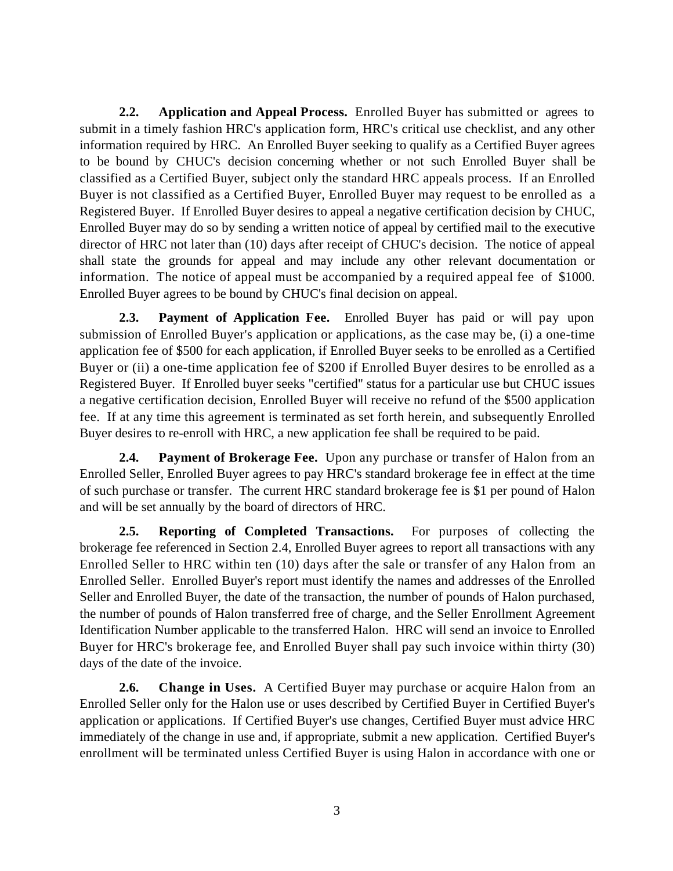**2.2. Application and Appeal Process.** Enrolled Buyer has submitted or agrees to submit in a timely fashion HRC's application form, HRC's critical use checklist, and any other information required by HRC. An Enrolled Buyer seeking to qualify as a Certified Buyer agrees to be bound by CHUC's decision concerning whether or not such Enrolled Buyer shall be classified as a Certified Buyer, subject only the standard HRC appeals process. If an Enrolled Buyer is not classified as a Certified Buyer, Enrolled Buyer may request to be enrolled as a Registered Buyer. If Enrolled Buyer desires to appeal a negative certification decision by CHUC, Enrolled Buyer may do so by sending a written notice of appeal by certified mail to the executive director of HRC not later than (10) days after receipt of CHUC's decision. The notice of appeal shall state the grounds for appeal and may include any other relevant documentation or information. The notice of appeal must be accompanied by a required appeal fee of \$1000. Enrolled Buyer agrees to be bound by CHUC's final decision on appeal.

**2.3. Payment of Application Fee.** Enrolled Buyer has paid or will pay upon submission of Enrolled Buyer's application or applications, as the case may be, (i) a one-time application fee of \$500 for each application, if Enrolled Buyer seeks to be enrolled as a Certified Buyer or (ii) a one-time application fee of \$200 if Enrolled Buyer desires to be enrolled as a Registered Buyer. If Enrolled buyer seeks "certified" status for a particular use but CHUC issues a negative certification decision, Enrolled Buyer will receive no refund of the \$500 application fee. If at any time this agreement is terminated as set forth herein, and subsequently Enrolled Buyer desires to re-enroll with HRC, a new application fee shall be required to be paid.

**2.4. Payment of Brokerage Fee.** Upon any purchase or transfer of Halon from an Enrolled Seller, Enrolled Buyer agrees to pay HRC's standard brokerage fee in effect at the time of such purchase or transfer. The current HRC standard brokerage fee is \$1 per pound of Halon and will be set annually by the board of directors of HRC.

**2.5. Reporting of Completed Transactions.** For purposes of collecting the brokerage fee referenced in Section 2.4, Enrolled Buyer agrees to report all transactions with any Enrolled Seller to HRC within ten (10) days after the sale or transfer of any Halon from an Enrolled Seller. Enrolled Buyer's report must identify the names and addresses of the Enrolled Seller and Enrolled Buyer, the date of the transaction, the number of pounds of Halon purchased, the number of pounds of Halon transferred free of charge, and the Seller Enrollment Agreement Identification Number applicable to the transferred Halon. HRC will send an invoice to Enrolled Buyer for HRC's brokerage fee, and Enrolled Buyer shall pay such invoice within thirty (30) days of the date of the invoice.

**2.6. Change in Uses.** A Certified Buyer may purchase or acquire Halon from an Enrolled Seller only for the Halon use or uses described by Certified Buyer in Certified Buyer's application or applications. If Certified Buyer's use changes, Certified Buyer must advice HRC immediately of the change in use and, if appropriate, submit a new application. Certified Buyer's enrollment will be terminated unless Certified Buyer is using Halon in accordance with one or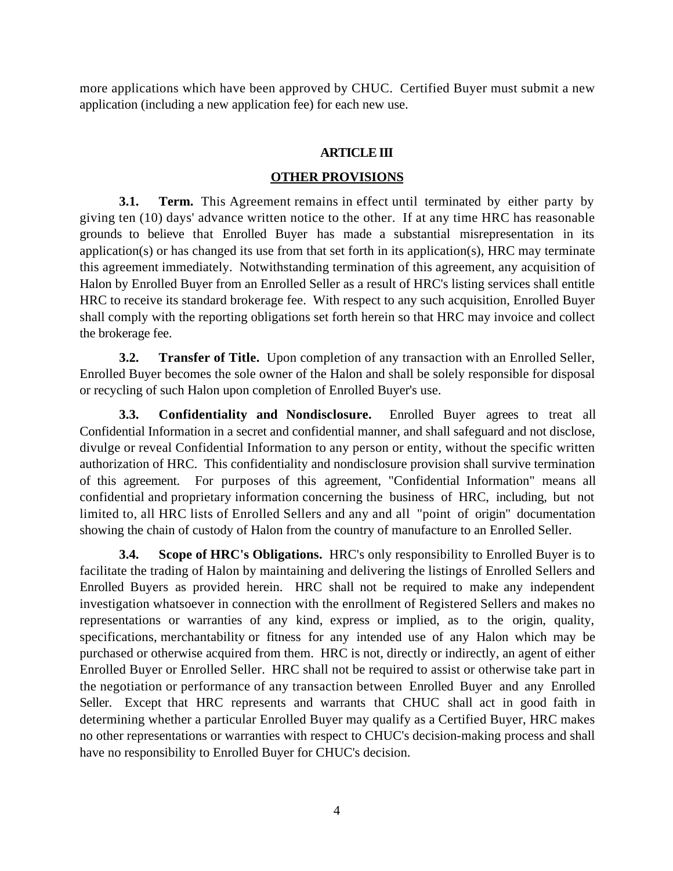more applications which have been approved by CHUC. Certified Buyer must submit a new application (including a new application fee) for each new use.

# **ARTICLE III**

# **OTHER PROVISIONS**

**3.1. Term.** This Agreement remains in effect until terminated by either party by giving ten (10) days' advance written notice to the other. If at any time HRC has reasonable grounds to believe that Enrolled Buyer has made a substantial misrepresentation in its application(s) or has changed its use from that set forth in its application(s), HRC may terminate this agreement immediately. Notwithstanding termination of this agreement, any acquisition of Halon by Enrolled Buyer from an Enrolled Seller as a result of HRC's listing services shall entitle HRC to receive its standard brokerage fee. With respect to any such acquisition, Enrolled Buyer shall comply with the reporting obligations set forth herein so that HRC may invoice and collect the brokerage fee.

**3.2. Transfer of Title.** Upon completion of any transaction with an Enrolled Seller, Enrolled Buyer becomes the sole owner of the Halon and shall be solely responsible for disposal or recycling of such Halon upon completion of Enrolled Buyer's use.

**3.3. Confidentiality and Nondisclosure.** Enrolled Buyer agrees to treat all Confidential Information in a secret and confidential manner, and shall safeguard and not disclose, divulge or reveal Confidential Information to any person or entity, without the specific written authorization of HRC. This confidentiality and nondisclosure provision shall survive termination of this agreement. For purposes of this agreement, "Confidential Information" means all confidential and proprietary information concerning the business of HRC, including, but not limited to, all HRC lists of Enrolled Sellers and any and all "point of origin" documentation showing the chain of custody of Halon from the country of manufacture to an Enrolled Seller.

**3.4. Scope of HRC's Obligations.** HRC's only responsibility to Enrolled Buyer is to facilitate the trading of Halon by maintaining and delivering the listings of Enrolled Sellers and Enrolled Buyers as provided herein. HRC shall not be required to make any independent investigation whatsoever in connection with the enrollment of Registered Sellers and makes no representations or warranties of any kind, express or implied, as to the origin, quality, specifications, merchantability or fitness for any intended use of any Halon which may be purchased or otherwise acquired from them. HRC is not, directly or indirectly, an agent of either Enrolled Buyer or Enrolled Seller. HRC shall not be required to assist or otherwise take part in the negotiation or performance of any transaction between Enrolled Buyer and any Enrolled Seller. Except that HRC represents and warrants that CHUC shall act in good faith in determining whether a particular Enrolled Buyer may qualify as a Certified Buyer, HRC makes no other representations or warranties with respect to CHUC's decision-making process and shall have no responsibility to Enrolled Buyer for CHUC's decision.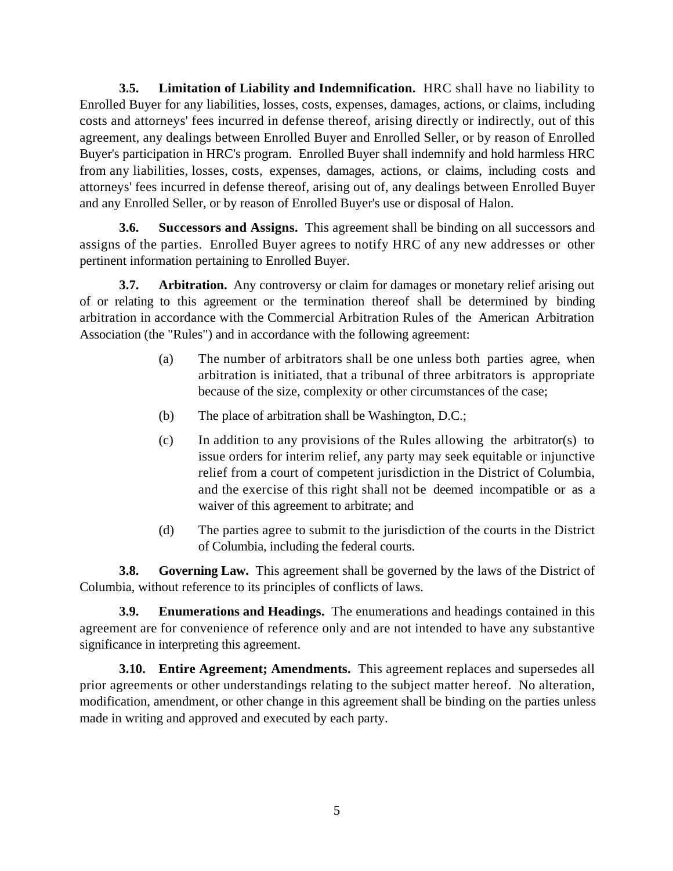**3.5. Limitation of Liability and Indemnification.** HRC shall have no liability to Enrolled Buyer for any liabilities, losses, costs, expenses, damages, actions, or claims, including costs and attorneys' fees incurred in defense thereof, arising directly or indirectly, out of this agreement, any dealings between Enrolled Buyer and Enrolled Seller, or by reason of Enrolled Buyer's participation in HRC's program. Enrolled Buyer shall indemnify and hold harmless HRC from any liabilities, losses, costs, expenses, damages, actions, or claims, including costs and attorneys' fees incurred in defense thereof, arising out of, any dealings between Enrolled Buyer and any Enrolled Seller, or by reason of Enrolled Buyer's use or disposal of Halon.

**3.6. Successors and Assigns.** This agreement shall be binding on all successors and assigns of the parties. Enrolled Buyer agrees to notify HRC of any new addresses or other pertinent information pertaining to Enrolled Buyer.

**3.7. Arbitration.** Any controversy or claim for damages or monetary relief arising out of or relating to this agreement or the termination thereof shall be determined by binding arbitration in accordance with the Commercial Arbitration Rules of the American Arbitration Association (the "Rules") and in accordance with the following agreement:

- (a) The number of arbitrators shall be one unless both parties agree, when arbitration is initiated, that a tribunal of three arbitrators is appropriate because of the size, complexity or other circumstances of the case;
- (b) The place of arbitration shall be Washington, D.C.;
- (c) In addition to any provisions of the Rules allowing the arbitrator(s) to issue orders for interim relief, any party may seek equitable or injunctive relief from a court of competent jurisdiction in the District of Columbia, and the exercise of this right shall not be deemed incompatible or as a waiver of this agreement to arbitrate; and
- (d) The parties agree to submit to the jurisdiction of the courts in the District of Columbia, including the federal courts.

**3.8. Governing Law.** This agreement shall be governed by the laws of the District of Columbia, without reference to its principles of conflicts of laws.

**3.9. Enumerations and Headings.** The enumerations and headings contained in this agreement are for convenience of reference only and are not intended to have any substantive significance in interpreting this agreement.

**3.10. Entire Agreement; Amendments.** This agreement replaces and supersedes all prior agreements or other understandings relating to the subject matter hereof. No alteration, modification, amendment, or other change in this agreement shall be binding on the parties unless made in writing and approved and executed by each party.